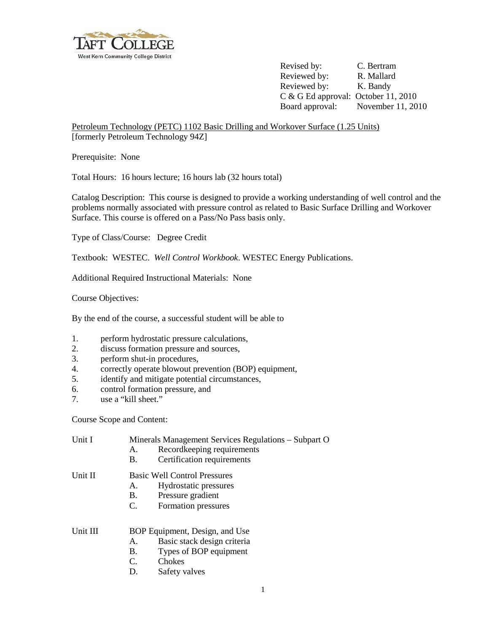

Revised by: C. Bertram Reviewed by: R. Mallard Reviewed by: K. Bandy C & G Ed approval: October 11, 2010 Board approval: November 11, 2010

Petroleum Technology (PETC) 1102 Basic Drilling and Workover Surface (1.25 Units) [formerly Petroleum Technology 94Z]

Prerequisite: None

Total Hours: 16 hours lecture; 16 hours lab (32 hours total)

Catalog Description: This course is designed to provide a working understanding of well control and the problems normally associated with pressure control as related to Basic Surface Drilling and Workover Surface. This course is offered on a Pass/No Pass basis only.

Type of Class/Course: Degree Credit

Textbook: WESTEC. *Well Control Workbook*. WESTEC Energy Publications.

Additional Required Instructional Materials: None

Course Objectives:

By the end of the course, a successful student will be able to

- 1. perform hydrostatic pressure calculations,<br>2. discuss formation pressure and sources
- discuss formation pressure and sources,
- 3. perform shut-in procedures,
- 4. correctly operate blowout prevention (BOP) equipment,
- 5. identify and mitigate potential circumstances,
- 6. control formation pressure, and
- 7. use a "kill sheet."

Course Scope and Content:

| Unit I   | Minerals Management Services Regulations – Subpart O<br>Recordkeeping requirements<br>А.<br>Certification requirements<br>Β.                        |
|----------|-----------------------------------------------------------------------------------------------------------------------------------------------------|
| Unit II  | <b>Basic Well Control Pressures</b><br>Hydrostatic pressures<br>А.<br><b>B.</b><br>Pressure gradient                                                |
|          | Formation pressures<br>$C_{\cdot}$                                                                                                                  |
| Unit III | BOP Equipment, Design, and Use<br>Basic stack design criteria<br>Α.<br>Types of BOP equipment<br>B.<br>$C_{\cdot}$<br>Chokes<br>D.<br>Safety valves |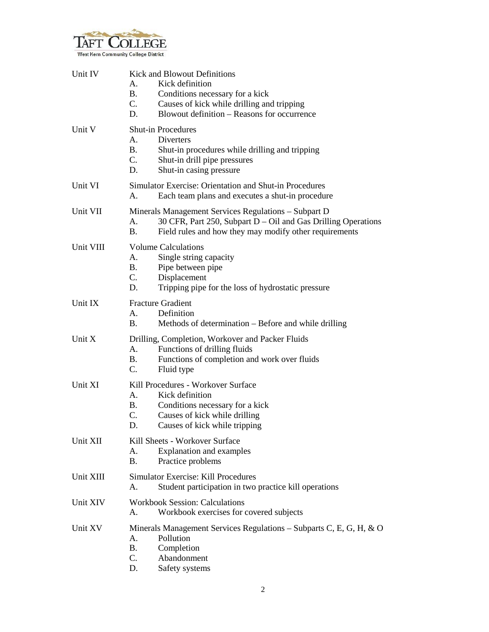

| Unit IV   | <b>Kick and Blowout Definitions</b><br>Kick definition<br>Α.<br>В.<br>Conditions necessary for a kick<br>$C_{\cdot}$<br>Causes of kick while drilling and tripping<br>Blowout definition – Reasons for occurrence<br>D. |
|-----------|-------------------------------------------------------------------------------------------------------------------------------------------------------------------------------------------------------------------------|
| Unit V    | <b>Shut-in Procedures</b><br>А.<br>Diverters<br><b>B.</b><br>Shut-in procedures while drilling and tripping<br>C.<br>Shut-in drill pipe pressures<br>D.<br>Shut-in casing pressure                                      |
| Unit VI   | Simulator Exercise: Orientation and Shut-in Procedures<br>Each team plans and executes a shut-in procedure<br>А.                                                                                                        |
| Unit VII  | Minerals Management Services Regulations - Subpart D<br>30 CFR, Part 250, Subpart D - Oil and Gas Drilling Operations<br>A.<br>Field rules and how they may modify other requirements<br>В.                             |
| Unit VIII | <b>Volume Calculations</b><br>Single string capacity<br>A.<br>В.<br>Pipe between pipe<br>$C_{\cdot}$<br>Displacement<br>Tripping pipe for the loss of hydrostatic pressure<br>D.                                        |
| Unit IX   | <b>Fracture Gradient</b><br>Definition<br>А.<br><b>B.</b><br>Methods of determination – Before and while drilling                                                                                                       |
| Unit X    | Drilling, Completion, Workover and Packer Fluids<br>Functions of drilling fluids<br>A.<br>Functions of completion and work over fluids<br><b>B.</b><br>C.<br>Fluid type                                                 |
| Unit XI   | Kill Procedures - Workover Surface<br>Kick definition<br>A.<br>B.<br>Conditions necessary for a kick<br>C.<br>Causes of kick while drilling<br>D.<br>Causes of kick while tripping                                      |
| Unit XII  | Kill Sheets - Workover Surface<br><b>Explanation and examples</b><br>А.<br><b>B.</b><br>Practice problems                                                                                                               |
| Unit XIII | <b>Simulator Exercise: Kill Procedures</b><br>Student participation in two practice kill operations<br>А.                                                                                                               |
| Unit XIV  | <b>Workbook Session: Calculations</b><br>Workbook exercises for covered subjects<br>А.                                                                                                                                  |
| Unit XV   | Minerals Management Services Regulations - Subparts C, E, G, H, & O<br>Pollution<br>A.<br><b>B.</b><br>Completion<br>Abandonment<br>C.<br>D.<br>Safety systems                                                          |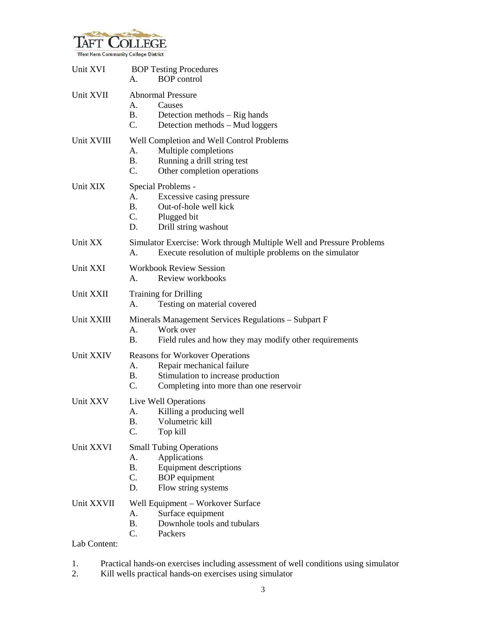

| Unit XVI                   | <b>BOP Testing Procedures</b><br><b>BOP</b> control<br>А.                                                                                                              |
|----------------------------|------------------------------------------------------------------------------------------------------------------------------------------------------------------------|
| Unit XVII                  | <b>Abnormal Pressure</b><br>А.<br>Causes<br><b>B.</b><br>Detection methods – Rig hands<br>$C_{\cdot}$<br>Detection methods - Mud loggers                               |
| Unit XVIII                 | Well Completion and Well Control Problems<br>Multiple completions<br>А.<br><b>B.</b><br>Running a drill string test<br>C.<br>Other completion operations               |
| Unit XIX                   | Special Problems -<br>A.<br>Excessive casing pressure<br><b>B.</b><br>Out-of-hole well kick<br>C.<br>Plugged bit<br>D.<br>Drill string washout                         |
| Unit XX                    | Simulator Exercise: Work through Multiple Well and Pressure Problems<br>Execute resolution of multiple problems on the simulator<br>А.                                 |
| Unit XXI                   | <b>Workbook Review Session</b><br>A.<br>Review workbooks                                                                                                               |
| Unit XXII                  | <b>Training for Drilling</b><br>Testing on material covered<br>А.                                                                                                      |
| Unit XXIII                 | Minerals Management Services Regulations - Subpart F<br>Work over<br>А.<br>Β.<br>Field rules and how they may modify other requirements                                |
| Unit XXIV                  | <b>Reasons for Workover Operations</b><br>Repair mechanical failure<br>A.<br>Stimulation to increase production<br>В.<br>C.<br>Completing into more than one reservoir |
| Unit XXV                   | Live Well Operations<br>Killing a producing well<br>А.<br>B.<br>Volumetric kill<br>C.<br>Top kill                                                                      |
| Unit XXVI                  | <b>Small Tubing Operations</b><br>Applications<br>A.<br><b>Equipment descriptions</b><br>Β.<br>C.<br><b>BOP</b> equipment<br>D.<br>Flow string systems                 |
| Unit XXVII<br>Lab Content: | Well Equipment - Workover Surface<br>Surface equipment<br>A.<br>Downhole tools and tubulars<br><b>B.</b><br>C.<br>Packers                                              |
|                            |                                                                                                                                                                        |

- 1. Practical hands-on exercises including assessment of well conditions using simulator
- 2. Kill wells practical hands-on exercises using simulator